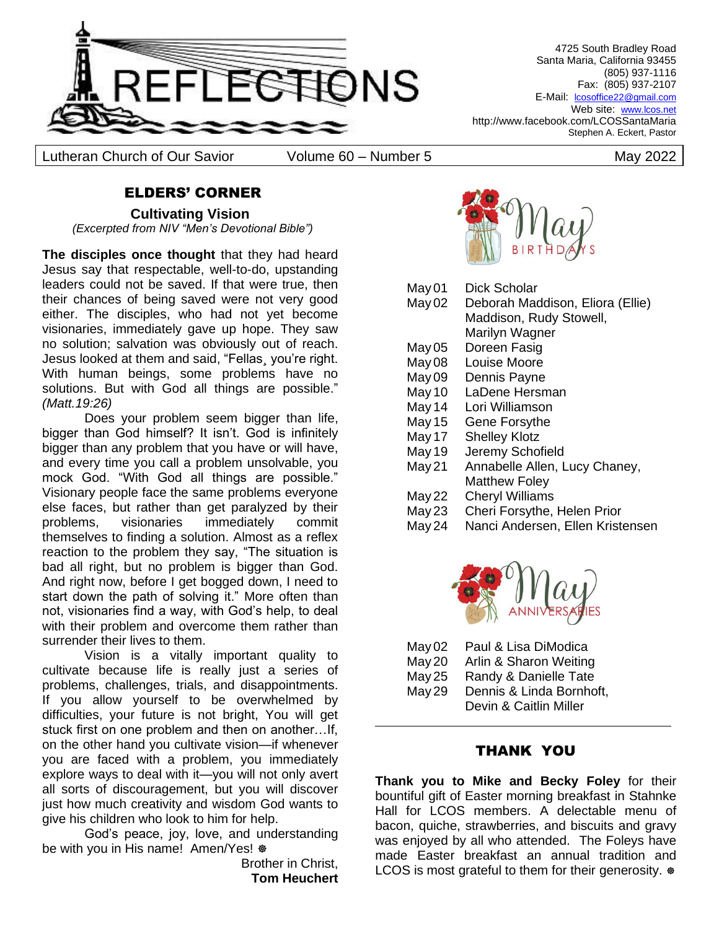

Lutheran Church of Our Savior Colume 60 – Number 5 May 2022

4725 South Bradley Road Santa Maria, California 93455 (805) 937-1116 Fax: (805) 937-2107 E-Mail: lcosoffice22@gmail.com Web site: [www.lcos.net](http://www.lcos.net/) http://www.facebook.com/LCOSSantaMaria Stephen A. Eckert, Pastor

# ELDERS' CORNER

**Cultivating Vision** *(Excerpted from NIV "Men's Devotional Bible")*

**The disciples once thought** that they had heard Jesus say that respectable, well-to-do, upstanding leaders could not be saved. If that were true, then their chances of being saved were not very good either. The disciples, who had not yet become visionaries, immediately gave up hope. They saw no solution; salvation was obviously out of reach. Jesus looked at them and said, "Fellas¸ you're right. With human beings, some problems have no solutions. But with God all things are possible." *(Matt.19:26)*

Does your problem seem bigger than life, bigger than God himself? It isn't. God is infinitely bigger than any problem that you have or will have, and every time you call a problem unsolvable, you mock God. "With God all things are possible." Visionary people face the same problems everyone else faces, but rather than get paralyzed by their problems, visionaries immediately commit themselves to finding a solution. Almost as a reflex reaction to the problem they say, "The situation is bad all right, but no problem is bigger than God. And right now, before I get bogged down, I need to start down the path of solving it." More often than not, visionaries find a way, with God's help, to deal with their problem and overcome them rather than surrender their lives to them.

Vision is a vitally important quality to cultivate because life is really just a series of problems, challenges, trials, and disappointments. If you allow yourself to be overwhelmed by difficulties, your future is not bright, You will get stuck first on one problem and then on another…If, on the other hand you cultivate vision—if whenever you are faced with a problem, you immediately explore ways to deal with it—you will not only avert all sorts of discouragement, but you will discover just how much creativity and wisdom God wants to give his children who look to him for help.

God's peace, joy, love, and understanding be with you in His name! Amen/Yes!  $\&$ 

> Brother in Christ, **Tom Heuchert**



May 01 Dick Scholar

- May 02 Deborah Maddison, Eliora (Ellie) Maddison, Rudy Stowell,
	- Marilyn Wagner
- May 05 Doreen Fasig
- May 08 Louise Moore
- May 09 Dennis Payne
- May 10 LaDene Hersman
- May 14 Lori Williamson
- May 15 Gene Forsythe
- May 17 Shelley Klotz
- May 19 Jeremy Schofield
- May 21 Annabelle Allen, Lucy Chaney, Matthew Foley
- May 22 Cheryl Williams
- May 23 Cheri Forsythe, Helen Prior
- May 24 Nanci Andersen, Ellen Kristensen



| May 02 | Paul & Lisa DiModica     |
|--------|--------------------------|
| May 20 | Arlin & Sharon Weiting   |
| May 25 | Randy & Danielle Tate    |
| May 29 | Dennis & Linda Bornhoft, |
|        | Devin & Caitlin Miller   |

# THANK YOU

**Thank you to Mike and Becky Foley** for their bountiful gift of Easter morning breakfast in Stahnke Hall for LCOS members. A delectable menu of bacon, quiche, strawberries, and biscuits and gravy was enjoyed by all who attended. The Foleys have made Easter breakfast an annual tradition and LCOS is most grateful to them for their generosity.  $\otimes$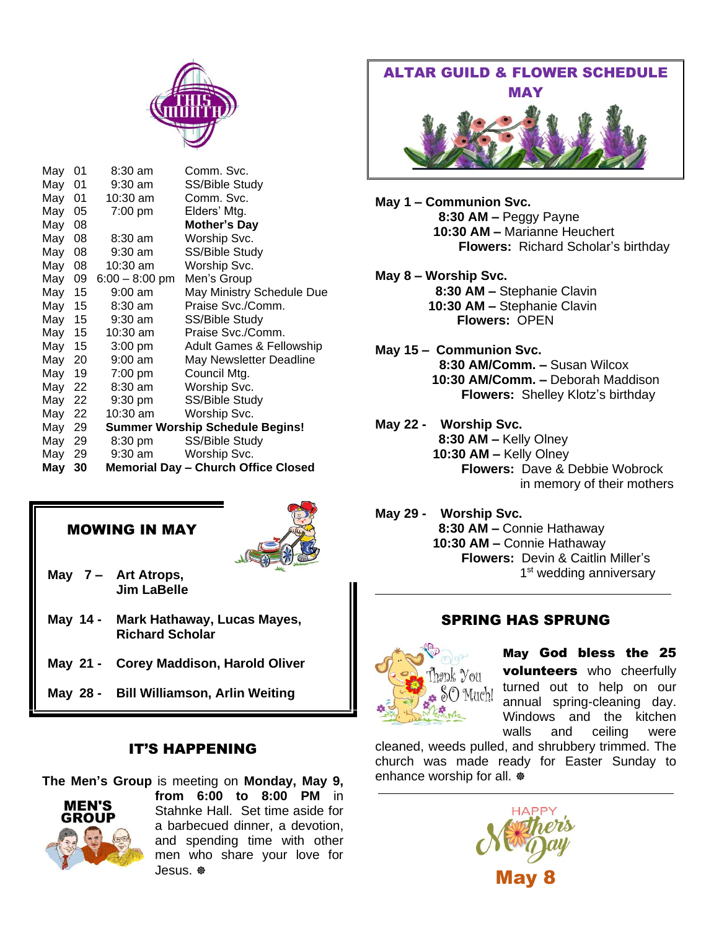

| May    | 01   | 8:30 am           | Comm. Svc.                                 |
|--------|------|-------------------|--------------------------------------------|
| May    | 01   | $9:30$ am         | SS/Bible Study                             |
| May    | 01   | $10:30$ am        | Comm. Svc.                                 |
| May    | 05   | 7:00 pm           | Elders' Mtg.                               |
| May    | 08   |                   | <b>Mother's Day</b>                        |
| May    | 08   | $8:30 \text{ am}$ | Worship Svc.                               |
| May    | 08   | $9:30$ am         | SS/Bible Study                             |
| May    | 08   | 10:30 am          | Worship Svc.                               |
| May    | 09   | $6:00 - 8:00$ pm  | Men's Group                                |
| May    | - 15 | $9:00$ am         | May Ministry Schedule Due                  |
| May    | 15   | $8:30 \text{ am}$ | Praise Svc./Comm.                          |
| May 15 |      | $9:30$ am         | SS/Bible Study                             |
| May    | 15   | 10:30 am          | Praise Svc./Comm.                          |
| May    | 15   | $3:00$ pm         | <b>Adult Games &amp; Fellowship</b>        |
| May    | 20   | $9:00$ am         | May Newsletter Deadline                    |
| May    | 19   | 7:00 pm           | Council Mtg.                               |
| May    | 22   | $8:30$ am         | Worship Svc.                               |
| May    | 22   | $9:30$ pm         | SS/Bible Study                             |
| May    | 22   | 10:30 am          | Worship Svc.                               |
| May    | 29   |                   | <b>Summer Worship Schedule Begins!</b>     |
| May    | 29   | 8:30 pm           | SS/Bible Study                             |
| May    | 29   | 9:30 am           | Worship Svc.                               |
| May    | 30   |                   | <b>Memorial Day - Church Office Closed</b> |

#### MOWING IN MAY



- **May 7 – Art Atrops, Jim LaBelle**
- **May 14 - Mark Hathaway, Lucas Mayes, Richard Scholar**
- **May 21 - Corey Maddison, Harold Oliver**
- **May 28 - Bill Williamson, Arlin Weiting**

# IT'S HAPPENING

**The Men's Group** is meeting on **Monday, May 9,** 



**from 6:00 to 8:00 PM** in Stahnke Hall. Set time aside for a barbecued dinner, a devotion, and spending time with other men who share your love for Jesus.



**May 1 – Communion Svc. 8:30 AM –** Peggy Payne **10:30 AM –** Marianne Heuchert  **Flowers:** Richard Scholar's birthday

**May 8 – Worship Svc. 8:30 AM –** Stephanie Clavin  **10:30 AM –** Stephanie Clavin **Flowers:** OPEN

- **May 15 – Communion Svc. 8:30 AM/Comm. –** Susan Wilcox  **10:30 AM/Comm. –** Deborah Maddison  **Flowers:** Shelley Klotz's birthday
- **May 22 Worship Svc. 8:30 AM –** Kelly Olney  **10:30 AM –** Kelly Olney  **Flowers:** Dave & Debbie Wobrock in memory of their mothers

**May 29 - Worship Svc. 8:30 AM –** Connie Hathaway  **10:30 AM –** Connie Hathaway  **Flowers:** Devin & Caitlin Miller's 1<sup>st</sup> wedding anniversary

# SPRING HAS SPRUNG



May God bless the 25 volunteers who cheerfully turned out to help on our annual spring-cleaning day. Windows and the kitchen walls and ceiling were

cleaned, weeds pulled, and shrubbery trimmed. The church was made ready for Easter Sunday to enhance worship for all.  $\Phi$ 

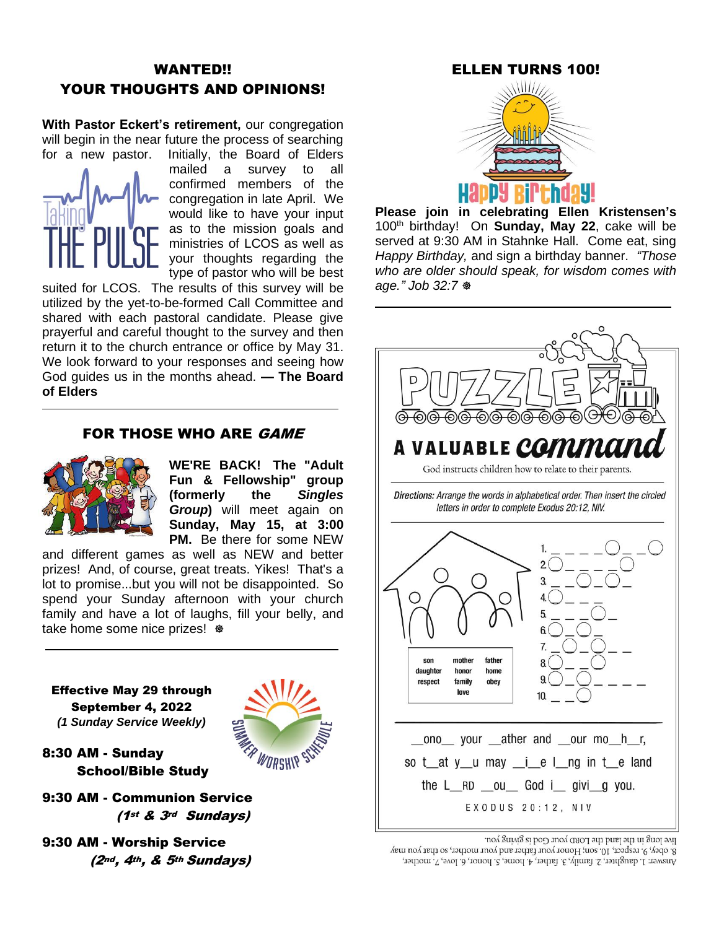# WANTED!! YOUR THOUGHTS AND OPINIONS!

**With Pastor Eckert's retirement,** our congregation will begin in the near future the process of searching for a new pastor. Initially, the Board of Elders



mailed a survey to all confirmed members of the congregation in late April. We would like to have your input as to the mission goals and ministries of LCOS as well as your thoughts regarding the type of pastor who will be best

suited for LCOS. The results of this survey will be utilized by the yet-to-be-formed Call Committee and shared with each pastoral candidate. Please give prayerful and careful thought to the survey and then return it to the church entrance or office by May 31. We look forward to your responses and seeing how God guides us in the months ahead. **— The Board of Elders**

#### FOR THOSE WHO ARE GAME



**WE'RE BACK! The "Adult Fun & Fellowship" group (formerly the** *Singles Group***)** will meet again on **Sunday, May 15, at 3:00 PM.** Be there for some NEW

WORSHIP

and different games as well as NEW and better prizes! And, of course, great treats. Yikes! That's a lot to promise...but you will not be disappointed. So spend your Sunday afternoon with your church family and have a lot of laughs, fill your belly, and take home some nice prizes!  $\Phi$ 

Effective May 29 through September 4, 2022 *(1 Sunday Service Weekly)*

8:30 AM - Sunday School/Bible Study

- 9:30 AM Communion Service (1st & 3rd Sundays)
- 9:30 AM Worship Service (2nd, 4th, & 5th Sundays)



**Please join in celebrating Ellen Kristensen's** 100th birthday! On **Sunday, May 22**, cake will be served at 9:30 AM in Stahnke Hall. Come eat, sing *Happy Birthday,* and sign a birthday banner. *"Those who are older should speak, for wisdom comes with age." Job 32:7*



live long in the land the LORD your God is giving you.

8. obey, 9. respect, 10. son; Honor your father and your mother, so that you may Answer: 1. daughter, 2. family, 3. father, 4. home, 5. honor, 6. love, 7. mother,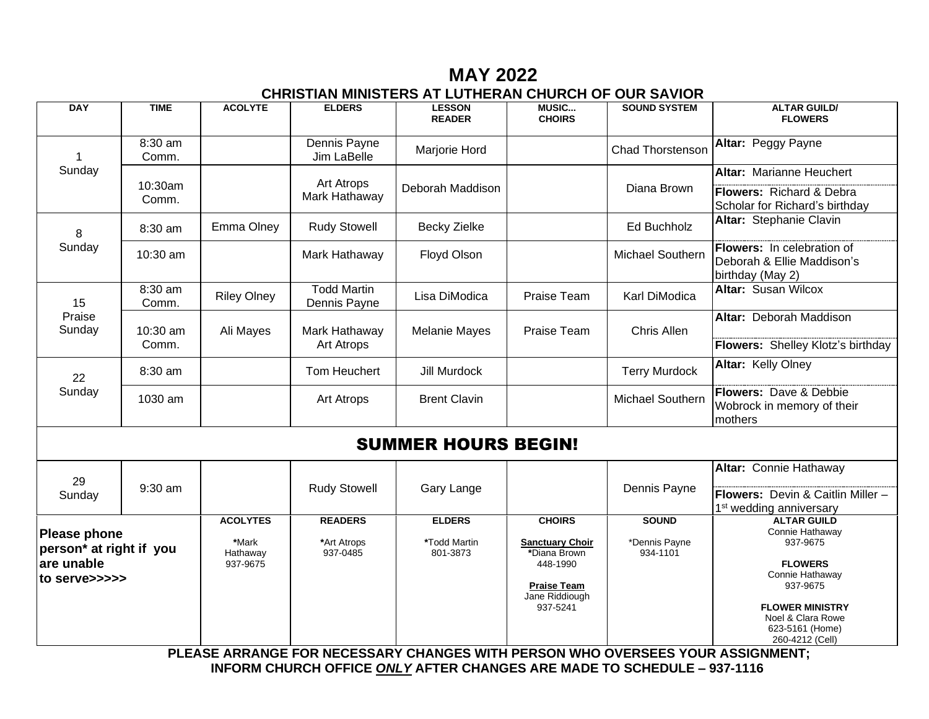# **MAY 2022 CHRISTIAN MINISTERS AT LUTHERAN CHURCH OF OUR SAVIOR**

| <b>DAY</b>                                     | <b>TIME</b>       | <b>ACOLYTE</b>     | <b>ELDERS</b>                      | <b>LESSON</b><br><b>READER</b>                                                   | <b>MUSIC</b><br><b>CHOIRS</b>                    | <b>SOUND SYSTEM</b>       | <b>ALTAR GUILD/</b><br><b>FLOWERS</b>                                        |
|------------------------------------------------|-------------------|--------------------|------------------------------------|----------------------------------------------------------------------------------|--------------------------------------------------|---------------------------|------------------------------------------------------------------------------|
| 1                                              | 8:30 am<br>Comm.  |                    | Dennis Payne<br>Jim LaBelle        | Marjorie Hord                                                                    |                                                  | <b>Chad Thorstenson</b>   | Altar: Peggy Payne                                                           |
| Sunday                                         |                   |                    |                                    |                                                                                  |                                                  |                           | Altar: Marianne Heuchert                                                     |
|                                                | 10:30am<br>Comm.  |                    | Art Atrops<br>Mark Hathaway        | Deborah Maddison                                                                 |                                                  | Diana Brown               | Flowers: Richard & Debra<br>Scholar for Richard's birthday                   |
| 8                                              | 8:30 am           | Emma Olney         | <b>Rudy Stowell</b>                | <b>Becky Zielke</b>                                                              |                                                  | <b>Ed Buchholz</b>        | Altar: Stephanie Clavin                                                      |
| Sunday                                         | 10:30 am          |                    | Mark Hathaway                      | Floyd Olson                                                                      |                                                  | Michael Southern          | Flowers: In celebration of<br>Deborah & Ellie Maddison's<br>birthday (May 2) |
| 15                                             | 8:30 am<br>Comm.  | <b>Riley Olney</b> | <b>Todd Martin</b><br>Dennis Payne | Lisa DiModica                                                                    | Praise Team                                      | Karl DiModica             | <b>Altar: Susan Wilcox</b>                                                   |
| Praise<br>Sunday                               | 10:30 am<br>Comm. | Ali Mayes          | Mark Hathaway<br><b>Art Atrops</b> | <b>Melanie Mayes</b>                                                             | Praise Team                                      | Chris Allen               | <b>Altar: Deborah Maddison</b>                                               |
|                                                |                   |                    |                                    |                                                                                  |                                                  |                           | Flowers: Shelley Klotz's birthday                                            |
| 22<br>Sunday                                   | 8:30 am           |                    | Tom Heuchert                       | Jill Murdock                                                                     |                                                  | <b>Terry Murdock</b>      | Altar: Kelly Olney                                                           |
|                                                | 1030 am           |                    | <b>Art Atrops</b>                  | <b>Brent Clavin</b>                                                              |                                                  | Michael Southern          | Flowers: Dave & Debbie<br>Wobrock in memory of their<br>mothers              |
| <b>SUMMER HOURS BEGIN!</b>                     |                   |                    |                                    |                                                                                  |                                                  |                           |                                                                              |
|                                                |                   |                    |                                    |                                                                                  |                                                  |                           | Altar: Connie Hathaway                                                       |
| 29<br>Sunday                                   | 9:30 am           |                    | <b>Rudy Stowell</b>                | Gary Lange                                                                       |                                                  | Dennis Payne              | Flowers: Devin & Caitlin Miller -<br>1 <sup>st</sup> wedding anniversary     |
|                                                |                   | <b>ACOLYTES</b>    | <b>READERS</b>                     | <b>ELDERS</b>                                                                    | <b>CHOIRS</b>                                    | <b>SOUND</b>              | <b>ALTAR GUILD</b>                                                           |
| <b>Please phone</b><br>person* at right if you |                   | *Mark<br>Hathaway  | *Art Atrops<br>937-0485            | *Todd Martin<br>801-3873                                                         | <b>Sanctuary Choir</b><br>*Diana Brown           | *Dennis Payne<br>934-1101 | Connie Hathaway<br>937-9675                                                  |
| are unable<br>to serve>>>>>                    |                   | 937-9675           |                                    |                                                                                  | 448-1990<br><b>Praise Team</b><br>Jane Riddiough |                           | <b>FLOWERS</b><br>Connie Hathaway<br>937-9675                                |
|                                                |                   |                    |                                    |                                                                                  | 937-5241                                         |                           | <b>FLOWER MINISTRY</b><br>Noel & Clara Rowe<br>623-5161 (Home)               |
|                                                |                   |                    |                                    | DI FAOF ADDANAF FAD NFAFOOADV AUANAFO WITH BEDOON WILO OVEDOFFO VAUD AODIANAFNT. |                                                  |                           | 260-4212 (Cell)                                                              |

 **PLEASE ARRANGE FOR NECESSARY CHANGES WITH PERSON WHO OVERSEES YOUR ASSIGNMENT; INFORM CHURCH OFFICE** *ONLY* **AFTER CHANGES ARE MADE TO SCHEDULE – 937-1116**